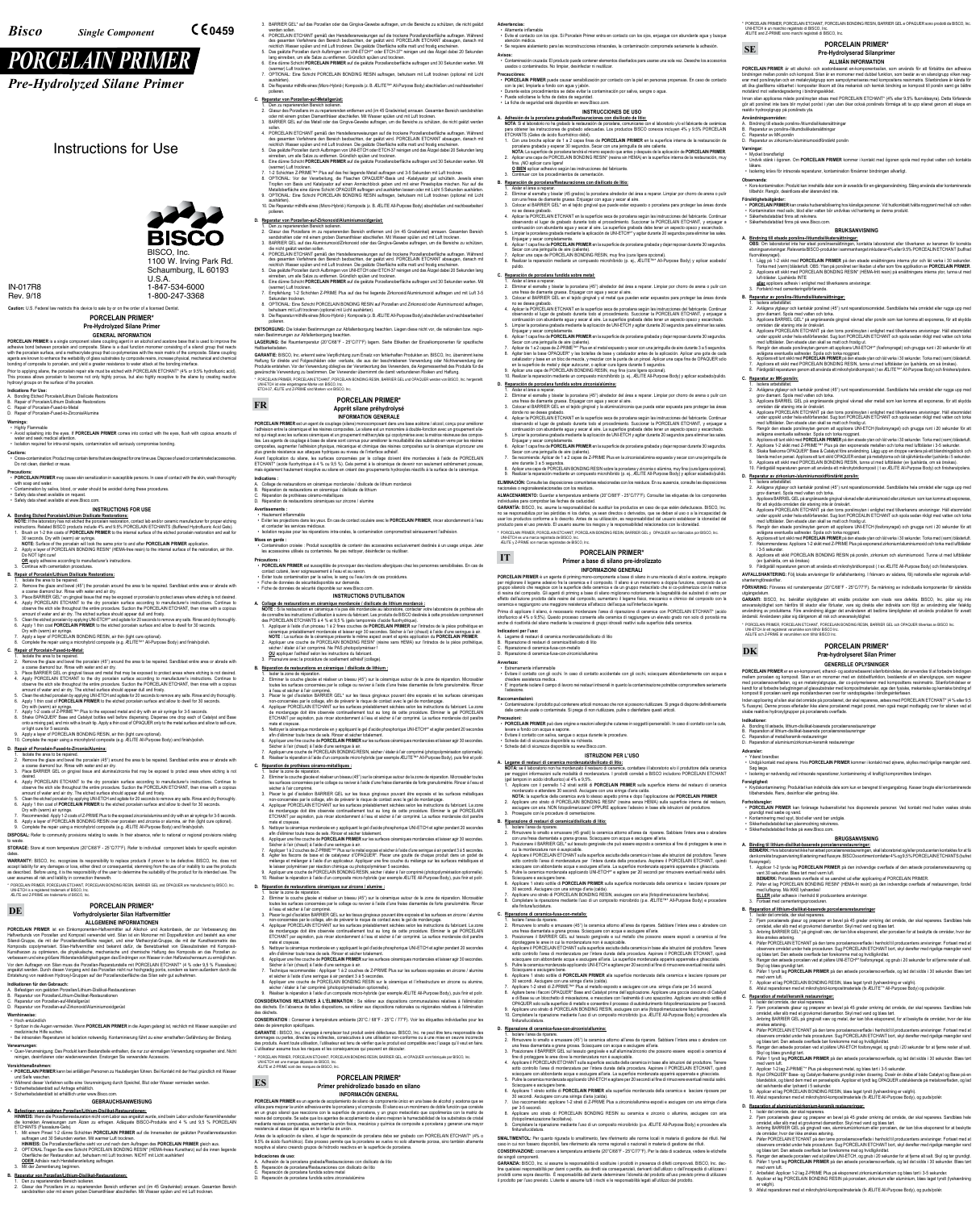## **PORCELAIN PRIMER\* Pre-Hydrolyzed Silane Primer**

### **GENERAL INFORMATION**

**PORCELAIN PRIMER** is a single component silane coupling agent in an alcohol and acetone base that is used to improve the adhesive bond between porcelain and composite. Silane is a dual function monomer consisting of a silanol group that reacts<br>with the porcelain surface, and a methacrylate group that co-polymerizes with the resin matrix of t agents are known to enhance the wettability of glass substrates by composite resins, increase physical, mechanical and chemical bonding of composite to porcelain, and yield a greater resistance to water attack at the bonding interface.

Prior to applying silane, the porcelain repair site must be etched with PORCELAIN ETCHANT\* (4% or 9.5% hydrofluoric acid).<br>This process allows porcelain to become not only highly porous, but also highly receptive to the si

**Precautions:** • **PORCELAIN PRIMER** may cause skin sensitization in susceptible persons. In case of contact with the skin, wash thoroughly with soap and water

### **Indications For Use:**

- A. Bonding Etched Porcelain/Lithium Disilicate Restorations B. Repair of Porcelain/Lithium Disilicate Restorations
- Repair of Porcelain-Fused-to-Metal
- D. Repair of Porcelain-Fused-to-Zirconia/Alumina

### **Warnings:** • Highly Flammable

• Avoid splashing into the eyes. If **PORCELAIN PRIMER** comes into contact with the eyes, flush with copious amounts of

 water and seek medical attention. • Isolation required for intra-oral repairs, contamination will seriously compromise bonding. **Cautions:**

• Cross-contamination: Product may contain items that are designed for one time use. Dispose of used or contaminated accessories. Do not clean, disinfect or reuse.

• Contamination by saliva, blood, or water should be avoided during these procedures. • Safety data sheet available on request.

• Safety data sheet available at www.Bisco.com.

## **INSTRUCTIONS FOR USE**

**A. Bonding Etched Porcelain/Lithium Disilicate Restorations: NOTE:** If the laboratory has not etched the porcelain restoration, contact lab and/or ceramic manufacturer for proper etching instructions. Related BISCO products include 4% and 9.5% PORCELAIN ETCHANTS (Buffered Hydrofluoric Acid Gels). 1. Brush on 1-2 thin coats of **PORCELAIN PRIMER** to the internal surface of the etched porcelain restoration and wait for

30 seconds. Dry with (warm) air syringe. **NOTE:** Surface of the porcelain will look the same prior to and after **PORCELAIN PRIMER** application.

2. Apply a layer of PORCELAIN BONDING RESIN\* (HEMA-free resin) to the internal surface of the restoration, air thin. Do NOT light cure!

**OR** apply adhesive according to manufacturer's instructions. iue with cementation procedu

- 1. Isolate the area to be repaired. 2. Remove the glaze and bevel the porcelain (45°) around the area to be repaired. Sandblast entire area or abrade with and bur. Rinse with water and air dry.
- 3. Place BARRIER GEL on gingival tissue and alumina/zirconia that may be exposed to protect areas where etching is not
- desired. 4. Apply PORCELAIN ETCHANT to the dry porcelain surface according to manufacturer's instructions. Continue to observe the etch site throughout the entire procedure. Suction the PORCELAIN ETCHANT, then rinse with a copious amount of water and air dry. The etched surface should appear dull and frosty.
- 5. Clean the etched porcelain by applying UNI-ETCH and agitate for 20 seconds to remove any salts. Rinse and dry thoroughly 6. Apply 1 thin coat of **PORCELAIN PRIMER** to the etched porcelain surface and allow to dwell for 30 seconds.
- 
- Dry with (warm) air syringe. 7. Recommended: Apply 1-2 coats of Z-PRIME Plus to the exposed zirconia/alumina and dry with an air syringe for 3-5 seconds.
- 8. Apply a layer of PORCELAIN BONDING RESIN over porcelain and zirconia or alumina, air thin (light cure optional).<br>9. Complete the repair using a microhybrid composite (e.g. ÆLITE All-Purpose Body) and finish/polish.

### **B. Repair of Porcelain/Lithium Disilicate Restorations:**

- 1. Isolate the area to be repaired. 2. Remove the glaze and bevel (45°) the porcelain around the area to be repaired. Sandblast entire area or abrade with
- a coarse diamond bur. Rinse with water and air dry.
- 3. Place BARRIER GEL\* on gingival tissue that may be exposed or porcelain to protect areas where etching is not desired.<br>4. Apply PORCELAIN ETCHANT to the dry porcelain surface according to manufacturer's instructions. C observe the etch site throughout the entire procedure. Suction the PORCELAIN ETCHANT, then rinse with a copious amount of water and air dry. The etched surface should appear dull and frosty.<br>5. Clean the etched porcelain by applying UNI-ETCH® and agitate for 20 seconds to remove any salts. Rinse and dry thoroughly.
- 6. Apply 1 thin coat **PORCELAIN PRIMER** to the etched porcelain surface and allow to dwell for 30 seconds.
- Dry with (warm) air syringe. 7. Apply a layer of PORCELAIN BONDING RESIN, air thin (light cure optional).
- 8. Complete the repair using a microhybrid composite (e.g. ÆLITE™\* All-Purpose Body) and finish/polish **C. Repair of Porcelain-Fused-to-Metal:**

### 1. Isolate the area to be repaired.

Vor dem Auftragen von Silan muss die Porzellan-Reparaturstelle mit PORCELAIN ETCHANT\* (4 % oder 9,5 % Flusssäure)<br>angeätzt werden. Durch diesen Vorgang wird das Porzellan nicht nur hochgradig porös, sondern es kann außerd Entstehung von reaktiven Hydroxyl-Gruppen auf der Porzellanoberfläche das Silan sehr gut aufnehmen.

- 2. Remove the glaze and bevel the porcelain (45°) around the area to be repaired. Sandblast entire area or abrade with
- a coarse diamond bur. Rinse with water and air dry.<br>3. Place BARRIER GEL on gingival tissue and metal that may be exposed to protect areas where etching is not desired.<br>4. Apply PORCELAIN ETCHANT to the dry porcelain surfa observe the etch site throughout the entire procedure. Suction the PORCELAIN ETCHANT, then rinse with a copious amount of water and air dry. The etched surface should appear dull and frosty.
- Clean the etched porcelain by applying UNI-ETCH and agitate for 20 seconds to remove any salts. Rinse and dry thoroughly 6. Apply 1 thin coat of **PORCELAIN PRIMER** to the etched porcelain surface and allow to dwell for 30 seconds.
- Dry with (warm) air syringe. 7. Apply 1-2 coats of Z-PRIME™\* Plus to the exposed metal and dry with an air syringe for 3-5 seconds.
- 8. Shake OPAQUER\* Base and Catalyst bottles well before dispensing. Dispense one drop each of Catalyst and Base<br>onto a mixing pad, and mix with a brush tip. Apply a thin coat of OPAQUER only to the metal surface and allow or light cure for 5 seconds. 9. Apply a layer of PORCELAIN BONDING RESIN, air thin (light cure optional). 10. Complete the repair using a microhybrid composite (e.g. ÆLITE All-Purpose Body) and finish/polish.

**Vorsichtsmaßnahmen:** • **PORCELAIN PRIMER** kann bei anfälligen Personen zu Hautallergien führen. Bei Kontakt mit der Haut gründlich mit Wasser und Seife wascher

- ETCHANTS (Flusssäure-Gels). 1. Mit einem Pinsel 1-2 dünne Schichten **PORCELAIN PRIMER** auf die Innenseiten der geätzten Porzellanrestauration
- auftragen und 30 Sekunden warten. Mit warmer Luft trocknen.<br>HINWEIS: Die Porzellanoberfläche sieht vor und nach dem Auftragen des PORCELAIN PRIMER gleich aus.<br>2. OPTIONAL:Tragen Sie eine Schicht PORCELAIN BONDING RESIN\* (H
- **ODER** Adhäsiv nach Herstelleranleitung auftragen.
- Mit der Zementierung beginner.
- 
- **B. Reparatur von Porzellan/Lithium-Disilikat-Restaurationen:**
- 
- 1. Den zu reparierenden Bereich isolieren. 2. Glasur des Porzellans im zu reparierenden Bereich entfernen und (im 45 Gradwinkel) anrauen. Gesamten Bereich sandstrahlen oder mit einem groben Diamantfräser abschleifen. Mit Wasser spülen und mit Luft trockner

## **D. Repair of Porcelain-Fused-to-Zirconia/Alumina:**

**DISPOSAL:** Refer to community provisions relating to waste. In their absence, refer to national or regional provisions relating to waste.

**STORAGE:** Store at room temperature (20°C/68°F - 25°C/77°F). Refer to individual component labels for specific expiration dates.

### **D. Reparatur von Porzellan-auf-Zirkonoxid/Aluminiumoxidgerüst:** Den zu reparierenden Bereich isolieren.

**WARRANTY:** BISCO, Inc. recognizes its responsibility to replace products if proven to be defective. BISCO, Inc. does not accept liability for any damages or loss, either direct or consequential, stemming from the use of or inability to use the products<br>as described. Before using, it is the responsibility of the user to determine the suitabi user assumes all risk and liability in connection therewith.

\* PORCELAIN PRIMER, PORCELAIN ETCHANT, PORCELAIN BONDING RESIN, BARRIER GEL and OPAQUER are manufactured by BISCO, Inc. UNI-ETCH is a registered trademark of BISCO, Inc. ÆLITE and Z-PRIME are trademarks of BISCO, Inc.

**PORCELAIN PRIMER\***

### **Vorhydrolysierter Silan Haftvermittler ALLGEMEINE INFORMATIONEN**

ngen zur Abfallentsorgung beachten **LAGERUNG:** Bei Raumtemperatur (20°C/68°F - 25°C/77°F) lagern. Siehe Etiketten der Einzelkomponenten für spezifische

**PORCELAIN PRIMER** ist ein Einkomponenten-Haftvermittler auf Alkohol- und Acetonbasis, der zur Verbesserung des Haftverbunds von Porzellan und Komposit verwendet wird. Silan ist ein Monomer mit Doppelfunktion und besteht aus eine Silanol-Gruppe, die mit der Porzellanoberfläche reagiert, und einer Methacrylat-Gruppe, die mit der Kunstharzmatrix des Komposits copolymerisiert. Silan-Haftvermittler sind bekannt dafür, die Benetzbarkeit von Glassubstraten mit Komposit-Kunstharzen zu optimieren, die physikalische, mechanische und chemische Haftung des Komposits an das Porzellan zu verbessern und eine größere Widerstandsfähigkeit gegen das Eindringen von Wasser in den Haftzwischenraum zu ermöglichen.

Produkte entstehen. Vor der Verwendung obliegt es der Verantwortung des Verwenders, die Angemessenheit des Produkts für die<br>gewünschte Verwendung zu bestimmen. Der Verwender übernimmt die damit verbundenen Risiken und Haft \* PORCELAIN PRIMER, PORCELAIN ETCHANT, PORCELAIN BONDING RESIN, BARRIER GEL und OPAQUER werden von BISCO, Inc. hergestellt. UNI-ETCH ist eine eingetragene Marke von BISCO, Inc. ETCH-37, ÆLITE und Z-PRIME sind Marken von BISCO, Inc.

Avant l'application du silane, les surfaces concernées par le collage doivent être mordancées à l'aide de PORCELAIN ETCHANT\* (acide fluorhydrique à 4 % ou 9,5 %). Cela permet à la céramique de devenir non seulement extrêmement poreuse<br>mais également hautement réceptive au silane en créant des groupements hydroxyles réactifs à la surface ent hautement réceptive au silane en créant des groupements hydroxyles réactifs à la surface de la céram

- **Indikationen für den Gebrauch:** A. Befestigen von geätzten Porzellan/Lithium-Disilikat-Restaurationen
- B. Reparatur von Porzellan/Lithium-Disilikat-Restaurationen
- 
- C. Reparatur von Porzellan-auf-Metallgerüst D. Reparatur von Porzellan-auf-Zirkonoxid/Aluminiumoxidgerüst

### **Warnhinweise:** • Hoch entzündlich

• Spritzer in die Augen vermeiden. Wenn **PORCELAIN PRIMER** in die Augen gelangt ist, reichlich mit Wasser ausspülen und

medizinische Hilfe suchen. • Bei intraoralen Reperaturen ist Isolation notwendig. Kontaminierung führt zu einer ernsthaften Gefährdung der Bindung.

**Verwarnungen:** • Quer-Verunreinigung: Das Produkt kann Bestandteile enthalten, die nur zur einmaligen Verwendung vorgesehen sind. Nicht reinigen, desinfizieren oder wiederverwenden. Enstorgen Sie verwendete Accessoirs.

• Während dieser Verfahren sollte eine Verunreinigung durch Speichel, Blut oder Wasser vermieden werden.

- Sicherheitsdatenblatt auf Anfrage erhältlich.
- Sicherheitsdatenblatt ist erhältlich unter www.Bisco.com.

### **GEBRAUCHSANWEISUNG**

A. <u>Befestigen von geatzten Porzellan/Lithium-Disilikat-Restaurationen:</u><br>HINWEIS: Wenn die Porzellanrestauration nicht vom Labor aus angeätzt wurde, sind beim Labor und/oder Keramikhersteller<br>ile korrekten Anweisungen zum

- mate et crayeuse. Nettoyer la céramique mordancée en y appliquant le gel d'acide phosphorique UNI-ETCH<sup>®\*</sup> et agiter pendant 20 secondes
- afin d'éliminer toute trace de sels. Rincer et sécher totalement. 6. Appliquer une fine couche de **PORCELAIN PRIMER** sur les surfaces céramiques mordancées et laisser agir 30 secondes.
- 
- Sécher à l'air (chaud) à l'aide d'une seringue à air.<br>7. Appliquer une couche de PORCELAIN BONDING RESIN, sécher / étaler à l'air comprimé (photopolymérisation optionnelle).<br>8. Réaliser la réparation à l'aide d'un com
- 3. BARRIER GEL\* auf das Porzellan oder das Gingiva-Gewebe auftragen, um die Bereiche zu schützen, die nicht geätzt
- werden sollen.<br>4. PORCELAIN ETCHANT gemäß den Herstelleranweisungen auf die trockene Porzellanoberfläche auftragen. Während<br>1. des gesamten Verfahrens den Bereich beobachten, der geätzt wird. PORCELAIN ETCHANT absaugen, da
- 5. Das geätzte Porzellan durch Aufbringen von UNI-ETCH™ oder ETCH-37\* reinigen und das Atzgel dabei 20 Sekunden<br>lang einreiben, um alle Salze zu entfernen. Gründlich spülen und trocknen.<br>6. Eine dünne Schicht **PORCELAIN P**
- (warmer) Luft trocknen. 7. OPTIONAL: Eine Schicht PORCELAIN BONDING RESIN auftragen, behutsam mit Luft trocknen (optional mit Licht
- aushärten). 8. Die Reparatur mithilfe eines (Micro-Hybrid-) Komposits (z. B. ÆLITE™\* All-Purpose Body) abschließen und nachbearbeiten/ polieren.

- Isoler la zone de réparation
- 2. Eliminer la couche glacée et réaliser un biseau (45°) sur la céramique autour de la zone de réparation. Microsabler toutes les surfaces concernées par le collage ou raviver à l'aide d'une fraise diamantée de forte granulométrie. Rincer à l'eau et
- secher à l'air comprime.<br>3. Placer le gel d'isolation BARRIER GEL sur les tissus gingivaux pouvant être exposés et les surfaces métalliques<br>1001-concernées par le collage, afin de prévenir le risque de contact avec le gel
- 4. Appliquer PORCELAIN ETCHANT sur les surfaces préalablement séchées selon les instructions du fabricant. La zone de mordançage doit être observée continuellement tout au long de cette procédure. Eliminer le gel PORCELAIN<br>ETCHANT par aspiration, puis rincer abondamment à l'eau et sécher à l'air comprimé. La surface mordancée doit para mate et crayeuse.
- 5. Nettoyer la céramique mordancée en y appliquant le gel d'acide phosphorique UNI-ETCH et agiter pendant 20 secondes afin d'éliminer toute trace de sels. Rincer et sécher totalement.
- 6. Appliquer une fine couche de **PORCELAIN PRIMER** sur les surfaces céramiques mordancées et laisser agir 30 secondes. Sécher à l'air (chaud) à l'aide d'une seringue à air.<br>7. Appliquer 1 à 2 couches de Z-PRIME™\* Plus sur le métal exposé et sécher à l'aide d'une seringue à air pendant 3 à 5 secondes.
- 8. Agiter les flacons de base et de catalyseur d'OPAQUER\*, Placer une goutte de chaque produit dans un godet de<br>mélange et mélanger à l'aide d'un applicateur. Appliquer une fine couche du mélange sur les surfaces métalliqu
- 9. Appliquer une couche de PORCELAIN BONDING RESIN, sécher / étaler à l'air comprimé (photopolymérisation optionnelle) 1.<br>Iliser la réparation à l'aide d'un composite micro-hybride (par exemple ÆLITE All-Purpose Body), puis finir et polir
- **D. Réparation de restaurations céramiques sur zircone / alumine :**

### **C. Reparatur von Porzellan-auf-Metallgerüst:**

**GARANTIE :** BISCO, Inc. s'engage à remplacer tout produit avéré défectueux. BISCO, Inc. ne peut être tenu responsable des dommages ou pertes, directes ou indirectes, consécutives à une utilisation non-conforme ou à une mise en oeuvre incorrecte des produits. Avant toute utilisation, l'utilisateur est tenu de vérifier que le produit est compatible avec l'usage qu'il veut en faire.<br>L'utilisateur assume tous les risques et les conséquences qui peuvent en découler.

- 1. Den zu reparierenden Bereich isolieren. 2. Glasur des Porzellans im zu reparierenden entfernen und (im 45 Gradwinkel) anrauen. Gesamten Bereich sandstrahlen oder mit einem groben Diamantfräser abschleifen. Mit Wasser spülen und mit Luft trocknen.
- 3. BARRIER GEL auf das Metall oder das Gingiva-Gewebe auftragen, um die Bereiche zu schützen, die nicht geätzt werden
- sollen. 4. PORCELAIN ETCHANT gemäß den Herstelleranweisungen auf die trockene Porzellanoberfläche auftragen. Während des gesamten Verfahrens den Bereich beobachten, der geätzt wird. PORCELAIN ETCHANT absaugen, danach mit reichlich Wasser spülen und mit Luft trocknen. Die geätzte Oberfläche sollte matt und frostig erscheinen. 5. Das geätzte Porzellan durch Aufbringen von UNI-ETCH oder ETCH-37 reinigen und das Ätzgel dabei 20 Sekunden lang
- einreiben, um alle Salze zu entfernen. Gründlich spülen und trocknen. 6. Eine dünne Schicht **PORCELAIN PRIMER** auf die geätzte Porzellanoberfläche auftragen und 30 Sekunden warten. Mit
- (warmer) Luft trocknen.<br>7. 1-2 Schichten Z-PRIME™\* Plus auf das frei liegende Metall auftragen und 3-5 Sekunden mit Luft trocknen.<br>8. OPTIONAL: Vor der Verarbeitung, die Flaschen OPAQUER\*-Basis und -Katalysator gut schütt
- Metalloberfläche eine dünne Schicht OPAQUER auftragen und aushärten lassen oder mit Licht 5 Sekunden aushärten. 9. OPTIONAL: Eine Schicht PORCELAIN BONDING RESIN auftragen, behutsam mit Luft trocknen (optional mit Licht **B. Reparación de porcelana/Restauraciones con disilicato de litio:** 2. Eliminar el esmalte y biselar (45 grados) la porcelana alrededor del área a reparar. Limpiar por chorro de arena o pulir con una fresa de diamante gruesa. Enjuagar con agua y secar al aire.
- aushärten). 10. Die Reparatur mithilfe eines (Micro-Hybrid-) Komposits (z. B. ÆLITE All-Purpose Body) abschließen und nachbearbeiten/
- polieren.

**PORCELAIN PRIMER** es un agente de acoplamiento de silano de componente único en una base de alcohol y acetona que se<br>utiliza para mejorar la unión adhesiva entre la porcelana y el composite. El silano es un monómero de do en un grupo silanol que reacciona con la superficie de porcelana, y un grupo metacrilato que copolimeriza con la matriz de resina del composite. Se sabe que los agentes de acoplamiento de silano mejoran la humectabilidad de los substratos de cristal<br>mediante resinas compuestas, aumentan la unión física, mecánica y química de composite a porcel resistencia al ataque del agua en la interfaz de unión.

- 2. Glasur des Porzellans im zu reparierenden Bereich entfernen und (im 45 Gradwinkel) anrauen. Gesamten Bereich
- sandstrahlen oder mit einem groben Diamantfräser abschleifen. Mit Wasser spülen und mit Luft trocknen. 3. BARRIER GEL auf das Aluminiumoxid/Zirkonoxid oder das Gingiva-Gewebe auftragen, um die Bereiche zu schützen, die nicht geätzt werden sollen.
- 4. PORCELAIN ETCHANT gemäß den Herstelleranweisungen auf die trockene Porzellanoberfläche auftragen. Während des gesamten Verfahrens den Bereich beobachten, der geätzt wird. PORCELAIN ETCHANT absaugen, danach mit reichlich Wasser spülen und mit Luft trocknen. Die geätzte Oberfläche sollte matt und frostig erscheinen.<br>5. Das geätzte Porzellan durch Aufbringen von UNI-ETCH oder ETCH-37 reinigen und das Ätzgel dabei 20 Sekunden lang<br>e
- 6. Eine dünne Schicht **PORCELAIN PRIMER** auf die geätzte Porzellanoberfläche auftragen und 30 Sekunden warten. Mit
- (warmer) Luft trocknen. 7. Empfehlung: 1-2 Schichten Z-PRIME Plus auf das frei liegende Zirkonoxid/Aluminiumoxid auftragen und mit Luft 3-5
- Sekunden trocknen. 8. OPTIONAL: Eine Schicht PORCELAIN BONDING RESIN auf Porzellan und Zirkonoxid oder Aluminiumoxid auftragen,
- behutsam mit Luft trocknen (optional mit Licht aushärten). 9. Die Reparatur mithilfe eines (Micro-Hybrid-) Komposits (z. B. ÆLITE All-Purpose Body) abschließen und nachbearbeiten/
- polieren. **ENTSORGUNG:** Die lokalen Bestimmungen zur Abfallentsorgung beachten. Liegen diese nicht vor, die nationalen bzw. regio-

3. Colocar el BARRIER GEL\* en el tejido gingival que puede estar expuesto o porcelana para proteger las áreas donde no se desea grabado. 4. Aplicar la PORCELAIN ETCHANT en la superficie seca de porcelana según las instrucciones del fabricante. Continuar observando el lugar de grabado durante todo el procedimiento. Succionar la PORCELAIN El CHANT, y enjuagar a<br>continuación con abundante agua y secar al aire. La superficie grabada debe tener un aspecto opaco y escarchado<br>5

**C. Reparación de porcelana fundida sobre metal:** Aislar el área a reparar

Haltbarkeitsdaten. **GARANTIE:** BISCO, Inc. erkennt seine Verpflichtung zum Ersatz von fehlerhaften Produkten an. BISCO, Inc. übernimmt keine Haftung für direkte und Folgeschäden oder -verluste, die aus der beschriebenen Verwendung oder Nichtverwendung der

## **PORCELAIN PRIMER\* Apprêt silane préhydrolysé**

### **INFORMATION GENERALE**

**PORCELAIN PRIMER** est un agent de couplage (silane) monocomposant dans une base acétone / alcool, conçu pour améliorer<br>l'adhésion entre la céramique et les résines composites. Le silane est un monomère à double-fonction a nol qui réagit avec les surfaces céramiques et un groupement méthacrylate qui copolymérise avec la matrice résineuse des composites. Les agents de couplage à base de silane sont connus pour améliorer la mouillabilité des substrats en verre par les résines composites, augmenter l'adhésion physique, mécanique et chimique des résines composites sur la céramique et procurer une<br>plus grande résistance aux attaques hydriques au niveau de l'interface adhésif.

> **PORCELAIN PRIMER\* Primer a base di silano pre-idrolizzato INFORMAZIONI GENERALI PORCELAIN PRIMER** è un agente di priming mono-componente a base di silano in una miscela di alcol e acetone, impiegato per migliorare il legame adesivo fra la ceramica e il composito. Il silano è un monomero a doppia funzione, composto da un<br>gruppo silanolo che reagisce con la superficie della ceramica e da un gruppo metacrilato che si codi resina del composito. Gli agenti di priming a base di silano migliorano notoriamente la bagnabilità dei substrati di vetro per effetto dell'azione prodotta dalle resine del composito, aumentano il legame fisico, meccanico e chimico del composito con la<br>ceramica e raggiungono una maggiore resistenza all'attacco dell'acqua sull'interfaccia legante. Prima di applicare il silano, è necessario mordenzare l'area di riparazione di ceramica con PORCELAIN ETCHANT\* (acido<br>idrofluorico al 4% o 9,5%). Questo processo consente alla ceramica di raggiungere un elevato grado non s

**Indications :** A. Collage de restaurations en céramique mordancée / disilicate de lithium mordancé

### Réparation de restaurations en céramique / disilicate de lithium Réparation de prothèses céramo-métalliques

### D. Réparation de restaurations céramiques sur zircone / alumine

### **Avertissements :** • Hautement inflammable

• Eviter les projections dans les yeux. En cas de contact oculaire avec le **PORCELAIN PRIMER**, rincer abondamment à l'eau et contacter les services médicaux.

• Isolation requise pour les réparations intra-orales, la contamination compromettrait sérieusement l'adhésion.

### **Mises en garde :** • Contamination croisée : Produit susceptible de contenir des accessoires exclusivement destinés à un usage unique. Jeter

## **Precauzioni:** • **PORCELAIN PRIMER** può dare origine a reazioni allergiche cutanee in soggetti ipersensibili. In caso di contatto con la cute, avare a fondo con acqua e sapone.

- les accessoires utilisés ou contaminés. Ne pas nettoyer, désinfecter ou réutiliser.
- **Précautions : PORCELAIN PRIMER** est susceptible de provoquer des réactions allergiques chez les personnes sensibilisées. En cas de
- contact cutané, laver soigneusement à l'eau et au savon. Eviter toute contamination par la salive, le sang ou l'eau lors de ces procédures.
- Fiche de données de sécuritédisponible sur demande.

- Evitare il contatto con saliva, sangue o acqua durante le procedure.
- Scheda dati di sicurezza disponibile su richiesta.
- Scheda dati di sicurezza disponibile su www.Bisco.com

### • Fiche de données de sécurité disponible sur www.Bisco.com. **INSTRUCTIONS D'UTILISATION**

- (gel tamponi in acido idrofluorico) al 4% e 9,5%. 1. Applicare con il pennello 1-2 strati sottili di **PORCELAIN PRIMER** sulla superficie interna del restauro di ceramica
- mordenzato e attendere 30 secondi. Asciugare con una siringa d'aria calda.<br>**NOTA:** la superficie della ceramica avrà lo stesso aspetto prima e dopo l'applicazione del **PORCELAIN PRIMER**<br>2. Applicare uno strato di PORCELAI
- asciugare con aria. NON fotopolimerizzare! OPPURE applicare l'adesivo in base alle istruzioni del produttore. 3. Proseguire con le procedure di cementazione
- **A. Collage de restaurations en céramique mordancée / disilicate de lithium mordancé :**
- NOTE : Si la restauration en céramique n´a pas été mordancée au laboratoire, contacter votre laboratoire de prothése afin<br>de connaître les instructions d'utilisation à suivre du fabricant. Les produits de BISCO destinés à des PORCELAIN ETCHANTS à 4 % et 9,5 % (gels tamponnés d'acide fluorhydrique).
- 1. Appliquer à l'aide d'un pinceau 1 à 2 fines couches de PORCELAIN PRIMER sur l'intrados de la pièce prothétique en<br>Céramique préalablement mordancée et laisser agir 30 secondes. Sécher à l'air (chaud) à l'aide d'une seri
- 2. Appliquer une couche de PORCELAIN BONDING RESIN\* (résine sans HEMA) sur l'intrados de la pièce prothétique, sécher / étaler à l'air comprimé. Ne PAS photopolymériser ! **OU** appliquer l'adhésif selon les instructions du fabricant.
- 3. Poursuivre avec la procédure de scellement adhésif (collage).

### **B. Réparation de restaurations en céramique / disilicate de lithium :**

- Isoler la zone de réparation
- Eliminer la couche glacée et réaliser un biseau (45°) sur la céramique autour de la zone de réparation. Microsa toutes les surfaces concernées par le collage ou raviver à l'aide d'une fraise diamantée de forte granulométrie. Rincer à l'eau et sécher à l'air comprimé.
- 3. Placer le gel d'isolation BARRIER GEL\* sur les tissus gingivaux pouvant être exposés et les surfaces céramiques ées par le collage, afin de prévenir le risque de contact avec le gel de mordançage. 4. Appliquer PORCELAIN ETCHANT sur les surfaces préalablement séchées selon les instructions du fabricant. La zone
- de mordançage doit être observée continuellement tout au long de cette procédure. Eliminer le gel PORCELAIN ETCHANT par aspiration, puis rincer abondamment à l'eau et sécher à l'air comprimé. La surface mo

4. Applicare il PORCELAIN ETCHANT sulla superficie asciutta della ceramica in base alle istruzioni del produttore. Tenere<br>sotto controllo l'area di mordenzatura per l'intera durata della procedura. Aspirare il PORCELAIN ET sciacquare con abbondante acqua e asciugare all'aria. La superficie mordenzata apparirà appannata e ghiacciata. 5. Pulire la ceramica mordenzata applicando UNI-ETCH e agitare per 20 secondi al fine di rimuovere eventuali residui salini. Sciacquare e asciugare bene. 6. Applicare 1 strato sottile di **PORCELAIN PRIMER** alla superficie mordenzata della ceramica e lasciare riposare per 30 secondi. Asciugare con una siringa d'aria (calda). 7. Uso raccomandato: applicare 1-2 strati di Z-PRIME Plus a zirconio/allumina esposti e asciugare con una siringa d'aria

### **C. Réparation de prothèses céramo-métalliques :**

**GARANZIA:** BISCO, Inc. si assume la responsabilità di sostituire i prodotti in presenza di difetti comprovati. BISCO, Inc. dec-<br>lina qualsiasi responsabilità per danni o perdite, sia diretti sia consequenziali, derivanti prodotti come sopra descritto. È responsabilità dell'utente determinare l'idoneità del prodotto all'uso previsto prima di utilizzare

A. Bindning till etsade porslins-/litiumdisilikatersättningar B. Reparatur av porslins-/litiumdisilikatersättningar

**C. Reparatur av MK-porslin:** Isolera arbetsfältet

- 1. Isoler la zone de réparation. 2. Eliminer la couche glacée et réaliser un biseau (45°) sur la céramique autour de la zone de réparation. Microsabler toutes les surfaces concernées par le collage ou raviver à l'aide d'une fraise diamantée de forte granulométrie. Rincer<br>à l'eau et sécher à l'air comprimé.
- à l'eau et sécher à l'air comprimé.<br>3. Placer le gel d'isolation BARRIER GEL sur les tissus gingivaux pouvant être exposés et les surfaces en zircone / alumine<br>1. Onn-concernées par le collage, afin de prévenir le risque d
- de mordançage doit être observée continuellement tout au long de cette procédure. Eliminer le gel PORCELAIN ETCHANT par aspiration, puis rincer abondamment à l'eau et sécher à l'air comprimé. La surface mordancée doit paraître mate et crayeuse.
- 5. Nettoyer la céramique mordancée en y appliquant le gel d'acide phosphorique UNI-ETCH et agiter pendant 20 secondes afin d'éliminer toute trace de sels. Rincer et sécher totalement.
- 6. Appliquer une fine couche de **PORCELAIN PRIMER** sur les surfaces céramiques mordancées et laisser agir 30 secondes.
- Sécher à l'air (chaud) à l'aide d'une seringue à air. 7. Technique recommandée : Appliquer 1 à 2 couches de Z-PRIME Plus sur les surfaces exposées en zircone / alumine
- et sécher à l'aide d'une seringue à air pendant 3 à 5 secondes. 8. Appliquer une couche de PORCELAIN BONDING RESIN sur la céramique et l'infrastructure en zircone ou alumine, sécher / étaler à l'air comprimé (photopolymérisation optionnelle).
- 9. Réaliser la réparation à l'aide d'un composite micro-hybride (par exemple ÆLITE All-Purpose Body), puis finir et polir.

7. Applicera 1-2 skikt med Z-PRIME™\* Plus på den exponerade metallen och torka med luftbläster i 3-5 sekunder.<br>8. Skaka flaskorna OPAQUER\* Base & Catalyst före användning. Lägg upp en droppe vardera på ett blandningsblock 9. Applicera ett skikt med PORCELAIN BONDING RESIN, tunna ut med luftbläster (ev ljushärda, om så önskas). 10. Färdigställ reparaturen genom att använda ett mikrohybridkomposit ( t ex ÆLITE All-Purpose Body) och finishera/polera.

### **CONSIDÉRATIONS RELATIVES À L'ÉLIMINATION :** Se référer aux dispositions communautaires relatives à l'élimination des déchets. En l'absence de telles dispositions, se référer aux dispositions nationales ou régionales relatives à l'élimination des déchets.

**CONSERVATION :** Conserver à température ambiante (20°C / 68°F - 25°C / 77°F). Voir les étiquettes individuelles pour les dates de péremption spécifiques.

\* PORCELAIN PRIMER, PORCELAIN ETCHANT, PORCELAIN BONDING RESIN, BARRIER GEL, et OPAQUER sont fabriqués par BISCO, Inc. UNI-ETCH est une marque déposée de BISCO, Inc. ÆLITE et Z-PRIME sont des marques de BISCO, Inc.

### **PORCELAIN PRIMER\* Primer prehidrolizado basado en silano**

### **INFORMACIÓN GENERAL**

**Indikationer:**<br>A. Bonding til ætsede, lithium-disilikat-baserede porcelænsrestaureringer B. Reparation af lithium-disilikat-baserede porcelænsrestaureringer C. Reparation af metal/keramik-restaureringer D. Reparation af aluminium/zirkonium-keramik restaureringer

Antes de la aplicación de silano, el lugar de reparación de porcelana debe ser grabado con PORCELAIN ETCHANT\* (4% o 9.5% de ácido fluorhídrico). Este proceso permite que la porcelana se vuelva no solo altamente porosa, sino también altamente receptiva al silano creando grupos de hidroxilo reactivos en la superficie de porcelana.

### **Indicaciones de uso:**

- 
- A. Adhesión de la porcelana grabada/Restauraciones con disilicato de litio B. Reparación de porcelana/Restauraciones con disilicato de litio C. Reparación de porcelana fundida sobre metal
- 
- D. Reparación de porcelana fundida sobre zirconia/alúmina

### **Advertencias:** • Altamente inflamable

Precau

- Evite el contacto con los ojos. Si Porcelain Primer entra en contacto con los ojos, enjuague con abundante agua y busque
- atención médica. Se requiere aislamiento para las reconstrucciones intraorales, la contaminación compromete seriamente la adhesión.

ikke ønskes ætsning.<br>4. Påfør PORCELAINT på den tørre porcelænsoverflade i henhold til producentens anvisninger. Fortsæt med at<br>1. Påfører området under hele proceduren. Sug PORCELAIN ETCHANT bort, skyl derefter med rigeli 5. Rengør den ætsede porcelæn ved at påføre UNI-ETCH®\* fosforsyregel, og gnub i 20 sekunder for at fjerne rester af salt.

**Avisos:**

• Contaminación cruzada: El producto puede contener elementos diseñados para usarse una sola vez. Deseche los accesorios usados o contaminados. No limpiar, desinfectar ni reutilizar.

> 2. Fjern porcelænets glasur og præparer en bevel på 45 grader omkring det område, der skal repareres. Sandblæs hele området, eller slib med et grovkornet diamantbor. Skyl med vand og blæs tørt. 3. Anbring BARRIER GEL på gingivalt væv og metal, der kan blive eksponeret, for at beskytte de områder, hvor der ikke ønskes ætsning.<br>4. Påfør PORCELAIN ETCHANT på den tørre porcelænsoverflade i henhold til producentens anvisninger. Fortsæt med at<br>observere området under hele proceduren. Sug PORCELAIN ETCHANT bort, skyl derefter med rigel 5. Blæs tørt. Den ætsede overflade bør forekomme mat og hvidlig/kridtet.<br>engør den ætsede porcelæn ved at påføre UNI-ETCH fosforsyregel, og gnub i 20 sekunder for at fjerne rester af salt.

• **PORCELAIN PRIMER** puede causar sensibilización por contacto con la piel en personas propensas. En caso de contacto

con la piel, limpiarla a fondo con agua y jabón. • Durante estos procedimientos se debe evitar la contaminación por saliva, sangre o agua.

• Puede solicitarse la ficha de datos de seguridad. • La ficha de seguridad está disponible en www.Bisco.com.

**INSTRUCCIONES DE USO**

**A. Adhesión de la porcelana grabada/Restauraciones con disilicato de litio:**

**NOTA**: Si el laboratorio no ha grabado la restauración de porcelana, comunicarse con el laboratorio y/o el fabricante de cerámicas para obtener las instrucciones de grabado adecuadas. Los productos BISCO conexos incluyen 4% y 9.5% PORCELAIN

ETCHANTS (Geles de ácido fluorhídrico débil).

Aislar el área a reparar.

1. Con una brocha aplicar de 1 a 2 capas finas de **PORCELAIN PRIMER** en la superficie interna de la restauración de porcelana grabada y esperar 30 segundos. Secar con una jeringuilla de aire caliente. **NOTA:** La superficie de porcelana tendrá el mismo aspecto que antes y después de la aplicación de **PORCELAIN PRIMER**. 2. Aplicar una capa de PORCELAIN BONDING RESIN\* (resina sin HEMA) en la superficie interna de la restauración, muy

 fina. ¡NO aplicar cura ligera! **O BIEN** aplicar adhesivo según las instrucciones del fabricante. 3. Continuar con los procedimientos de cementación.

Enjuagar y secar completamente.

6. Aplicar 1 capa fina de **PORCELAIN PRIMER** en la superficie de porcelana grabada y dejar reposar durante 30 segundos.

8. Realizar la reparación mediante un compuesto microhíbrido (p. ej., ÆLITE™\* All-Purpose Body) y aplicar acabado/

Secar con una jeringuilla de aire (caliente). 7. Aplicar una capa de PORCELAIN BONDING RESIN, muy fina (cura ligera opcional).

pulido.

2. Eliminar el esmalte y biselar la porcelana (45°) alrededor del área a reparar. Limpiar por chorro de arena o pulir con una fresa de diamante gruesa. Enjuagar con agua y secar al aire. 3. Colocar el BARRIER GEL en el tejido gingival y el metal que pueden estar expuestos para proteger las áreas donde

no se desea grabado.

. Aislar el área a reparar.

onde no se desea grabad

4. Aplicar la PORCELAIN ETCHANT en la superficie seca de porcelana según las instrucciones del fabricante. Continuar observando el lugar de grabado durante todo el procedimiento. Succionar la PORCELAIN ETCHANT, y enjuagar a continuación con abundante agua y secar al aire. La superficie grabada debe tener un aspecto opaco y escarchado. 5. Limpiar la porcelana grabada mediante la aplicación de UNI-ETCH y agitar durante 20 segundos para eliminar las sales. Enjuagar y secar completamente. 6. Aplicar 1 capa fina de **PORCELAIN PRIMER** en la superficie de porcelana grabada y dejar reposar durante 30 segundos. Secar con una jeringuilla de aire (caliente).<br>7. Aplicar de 1 a 2 capas de Z-PRIME™ Plus en el metal expuesto y secar con una jeringuilla de aire durante 3 a 5 segundos.<br>8. Agitar bien la base OPAQUER\* y las botellas catalizador y base en un bloc de mezcla, y mezclar con la punta de un pincel. Aplicar una capa fina de OPAQUER sólo

en la superficie de metal y dejar autocurar, o aplicar cura ligera durante 5 segundos. 9. Aplicar una capa de PORCELAIN BONDING RESIN, muy fina (cura ligera opcional).

10. Realizar la reparación mediante un compuesto microhíbrido (p. ej., ÆLITE All-Purpose Body) y aplicar acabado/pulido.

**D. Reparación de porcelana fundida sobre zirconia/alúmina:**

2. Eliminar el esmalte y biselar la porcelana (45°) alrededor del área a reparar. Limpiar por chorro de arena o pulir con una fresa de diamante gruesa. Enjuagar con agua y secar al aire. 3. Colocar el BARRIER GEL en el tejido gingival y la alúmina/zirconia que pueda estar expuesta para proteger las áreas

4. Aplicar la PORCELAIN ETCHANT en la superficie seca de porcelana según las instrucciones del fabricante. Continuar observando el lugar de grabado durante todo el procedimiento. Succionar la PORCELAIN ETCHANT, y enjuagar a continuación con abundante agua y secar al aire. La superficie grabada debe tener un aspecto opaco y escarchado. 5. Limpiar la porcelana grabada mediante la aplicación de UNI-ETCH y agitar durante 20 segundos para eliminar las sales.

Enjuagar y secar completamente.

6. Aplicar 1 capa fina de **PORCELAIN PRIMER** en la superficie de porcelana grabada y dejar reposar durante 30 segundos.

Secar con una jeringuilla de aire (caliente).

7. Se recomienda: Aplicar de 1 a 2 capas de Z-PRIME Plus en la zirconia/alúmina expuesta y secar con una jeringuilla de aire durante 3 a 5 segundos. 8. Aplicar una capa de PORCELAIN BONDING RESIN sobre la porcelana y zirconia o alúmina, muy fina (cura ligera opcional). Realizar la reparación mediante un compuesto microhíbrido (p. ej., ÆLITE All-Purpose Body) y aplicar acabado/pulido. **ELIMINACIÓN:** Consulte las disposiciones comunitarias relacionadas con los residuos. En su ausencia, consulte las disposiciones

nacionales o regionalesrelacionadas con los residuos.

**ALMACENAMIENTO:** Guardar a temperatura ambiente (20°C/68°F - 25°C/77°F). Consultar las etiquetas de los componentes

individuales para comprobar las fechas de caducidad.

**GARANTÍA:** BISCO, Inc. asume la responsabilidad de sustituir los productos en caso de que estén defectuosos. BISCO, Inc. no se responsabiliza por las pérdidas ni los daños, ya sean directos o derivados, que se deban al uso o a la incapacidad de usar los productos conforme a lo descrito. Antes de su utilización, es responsabilidad del usuario establecer la idoneidad del producto para el uso previsto. El usuario asume los riesgos y la responsabilidad relacionados con la idoneidad. \* PORCELAIN PRIMER, PORCELAIN ETCHANT, PORCELAIN BONDING RESIN, BARRIER GEL y OPAQUER son fabricados por BISCO, Inc.

UNI-ETCH es una marca registrada de BISCO, Inc. ÆLITE y Z-PRIME son marcas registradas de BISCO, Inc.

anche di ricettività del silano mediante la creazione di gruppi idrossili reattivi sulla superficie della ceramica.

**Indicazioni per l'uso:**

A. Legame di restauri di ceramica mordenzata/disilicato di litio B. Riparazione di restauri di ceramica/disilicato di litio C. Riparazione di ceramica-fusa-con-metallo D. Riparazione di ceramica-fusa-con-zirconio/allumina

**Avverteze:**

• Estremamente infiammabile

• Evitare il contatto con gli occhi. In caso di contatto accidentale con gli occhi, sciacquare abbondantemente con acqua e chiedere assistenza medica. • E' importante isolare il campo di lavoro nei restauri intraorali in quanto la contaminazione potrebbe compromettere seriamente

 l'adesione. **Raccomandazioni:**

• Contaminazione: il prodotto può contenere articoli monouso che non si possono riutilizzare. Si prega di disporre definitivamente

### **ISTRUZIONI PER L'USO**

delle cannule usate o contaminate. Si prega di non riutilizzare, pulire o disinfettare questi artico

**A. Legame di restauri di ceramica mordenzata/disilicato di litio: NOTA:** se il laboratorio non ha mordenzato il restauro di ceramica, contattare il laboratorio e/o il produttore della ceramica per maggiori informazioni sulle modalità di mordenzatura. I prodotti correlati a BISCO includono PORCELAIN ETCHANT

## **B. Riparazione di restauri di ceramica/disilicato di litio:**

- 1. Isolare l'area da riparare. 2. Rimuovere lo smalto e smussare (45 gradi) la ceramica attorno all'area da riparare. Sabbiare l'intera area o abradere con una fresa diamantata a grana grossa. Sciacquare con acqua e asciugare all'aria.
- 3. Posizionare il BARRIER GEL\* sul tessuto gengivale che può essere esposto a ceramica al fine di proteggere le aree in
- cui la mordenzatura non è auspicabile. 4. Applicare il PORCELAIN ETCHANT sulla superficie asciutta della ceramica in base alle istruzioni del produttore. Tenere sotto controllo l'area di mordenzatura per l'intera durata della procedura. Aspirare il PORCELAIN ETCHANT, quindi
- sciacquare con abbondante acqua e asciugare all'aria. La superficie mordenzata apparira appannata e ghiacciata.<br>5. Pulire la ceramica mordenzata applicando UNI-ETCH<sup>⊯</sup> e agitare per 20 secondi per rimuovere eventuali resi Sciacquare e asciugare bene.
- 6. Applicare 1 strato sottile di **PORCELAIN PRIMER** sulla superficie mordenzata della ceramica e lasciare riposare per
	- 30 secondi. Asciugare con una siringa d'aria (calda). 7. Applicare uno strato di PORCELAIN BONDING RESIN, asciugare con aria (fotopolimerizzazione facoltativa).
	- 8. Completare la riparazione mediante l'uso di un composito microibrido (p.e. ÆLITE™\* All-Purpose Body) e procedere alla finitura/lucidatura.

### **C. Riparazione di ceramica-fusa-con-metallo:** 1. Isolare l'area da riparare.

2. Rimuovere lo smalto e smussare (45°) la ceramica attorno all'area da riparare. Sabbiare l'intera area o abradere con una fresa diamantata a grana grossa. Sciacquare con acqua e asciugare all'aria. 3. Posizionare il BARRIER GEL sul tessuto gengivale e sul metallo che possono essere esposti a ceramica al fine

4. Applicare il PORCELAIN E I CHAN I sulla superticie asciutta della ceramica in base alle istruzioni del produttore. I enere<br>sotto controllo l'area di mordenzatura per l'intera durata della procedura. Aspirare il PORCELAI sciacquare con abbondante acqua e asciugare all'aria. La superficie mordenzata apparirà appannata e ghiacciata.<br>Pulire la ceramica mordenzata applicando UNI-ETCH e agitare per 20 secondi al fine di rimuovere eventuali resi

diproteggere le aree in cui la mordenzatura non è auspicabile.

Sciacquare e asciugare bene.

6. Applicare 1 strato sottile di **PORCELAIN PRIMER** alla superficie mordenzata della ceramica e lasciare riposare per 30 secondi. Asciugare con una siringa d'aria (calda). 7. Applicare 1-2 strati di Z-PRIME™\* Plus al metallo esposto e asciugare con una siringa d'aria per 3-5 secondi. 8. Agitare bene i flaconi OPAQUER\* Base and Catalyst prima dell'applicazione. Applicare una goccia ciascuno di Catalyst e di Base su un blocchetto di miscelazione, e mescolare con l'estremità di uno spazzolino. Applicare uno strato sottile di<br>OPAQUER solo sulla superficie di metallo e consentire il processo di autoindurimento fotopolimerizz 9. Applicare uno strato di PORCELAIN BONDING RESIN, asciugare con aria (fotopolimerizzazione facoltativa). 10. Completare la riparazione mediante l'uso di un composito microibrido (p.e. ÆLITE All-Purpose Body) e procedere alla

finitura/lucidatura.

**D. Riparazione di ceramica-fusa-con-zirconio/allumina:**

1. Isolare l'area da riparare. 2. Rimuovere lo smalto e smussare (45°) la ceramica attorno all'area da riparare. Sabbiare l'intera area o abradere con una fresa diamantata a grana grossa. Sciacquare con acqua e asciugare all'aria. 3. Posizionare il BARRIER GEL sul tessuto gengivale e sull'allumina/zirconio che possono essere esposti a ceramica al

fine di proteggere le aree dove la mordenzatura non è auspicabile.

per 3-5 secondi.

8. Applicare uno strato di PORCELAIN BONDING RESIN su ceramica e zirconio o allumina, asciugare con aria (fotopolimerizzazione facoltativa). 9. Completare la riparazione mediante l'uso di un composito microibrido (p.e. ÆLITE All-Purpose Body) e procedere alla

finitura/lucidatura.

dei singoli componen

**SMALTIMENTOL:** Per quanto rigurada lo smaltimento, fare riferimento alle norme locali in materia di gestione dei rifiuti. Nel caso in cui non fossero disponibili, fare riferimento alle norme regionali o nazionali in materia di gestione dei rifiuti. **CONSERVAZIONE:** conservare a temperatura ambiente (20°C/68°F - 25°C/77°F). Per la data di scadenza, vedere le etichette

il prodotto per l'uso previsto. L'utente si assume tutti i rischi e le responsabilità legati all'utilizzo del prodotto.

5. Pulire la ceramica mordenzata applicando UNI-ETCH e agitare per 20 secondi al fine di rimuovere eventuality

\* PORCELAIN PRIMER, PORCELAIN ETCHANT, PORCELAIN BONDING RESIN, BARRIER GEL e OPAQUER sono prodotti da BISCO, Inc.

UNI-ETCH è un marchio registrato di BISCO, Inc. ÆLITE and Z-PRIME sono marchi registrati di BISCO, Inc.

**PORCELAIN PRIMER\* Pre-Hydrolyserad Silanprimer ALLMÄN INFORMATION PORCELAIN PRIMER** är ett alkohol- och acetonbaserat en-komponentssilan, som används för att förbättra den adhesiva<br>bindningen mellan porslin och komposit. Silan är en momomer med dubbel funktion, som består av en silanolg att öka glasfillerns vätbarhet i kompositer liksom att öka mekanisk och kemisk bindning av komposit till porslin samt ge bättre

motstånd mot vattendegradering i bindningsskiktet.

Innan silan appliceras måste porslinsytan etsas med PORCELAIN ETCHANT\* (4% eller 9.5% fluorvätesyra). Detta förfarande gör att porslinet inte bara blir mycket poröst i ytan utan ökar också porslinets förmåga att ta upp silanet genom att skapa en

reaktiv hydroxylgrupp på porslinets yta.

Reparatur av MK-porslin

**Användningsområden:**

D. Reparatur av zirkonium-/aluminiumoxidförstärkt porslin

tillbehör. Rengör, desinficera eller återanvänd inte

**Varningar:** • Mycket brandfarligt

• Undvik stänk i ögonen. Om **PORCELAIN PRIMER** kommer i kontakt med ögonen spola med mycket vatten och kontakta

läkare. • Isolering krävs för intraorala reparaturer, kontamination försämrar bindningen allvarligt.

**Observanda:** • Kors-kontamination: Produkt kan innehålla delar som är avsedda för en-gångsanvändning. Släng använda eller kontaminerade

• PORCELAIN PRIMER kan orsaka hudsensibilisering hos känsliga personer. Vid hudkonktakt tvätta noggrant med tval och vatten<br>• Kontamination med saliv, blod eller vatten bör undvikas vid hantering av denna produkt.<br>• Säk

**Försiktighetsåtgärder:**

• Säkerhetsdatablad finns på www.Bisco.com.

**BRUKSANVISNING**

OBS: Om laboratonet inte har etsat porsiinsersättningen, kontakta laboratoriet eller tillverkaren av keramen för korrekta<br>etsningsanvisningar. Relevanta BISCO-produkter i sammanhanget inkluderar 4% eller 9.5% PORCEALIN ETC fluorvätesyragel).<br>1. Lägg på 1-2 skikt med **PORCELAIN PRIMER** på den etsade ersättningens interna ytor och låt verka i 30 sekunder. Torka med (varm) blästerluft. OBS: Ytan på porslinet ser likadan ut efter som före applikation av PORCELAIN PRIMER.<br>2. Applicera ett skikt med PORCELAIN BONDING RESIN\* (HEMA-fritt resin) på ersättningens interna ytor, tunn

**A. Bindning till etsade porslins-/litiumdisilikatersättningar:**

luft-bläster. Ljushärda INTE

lsolera arbetsfälte

 **eller** applicera adhesiv i enlighet med tillverkarens anvisningar.

3. Fortskrid med cementeringsförfarande. **B. Reparatur av porslins-/litiumdisilikatersättningar:**

2. Avlägsna ytglasyr och kantskär porslinet (45°) runt reparationsområdet. Sandblästra hela området eller rugga upp med grov diamant. Spola med vatten och torka. 3. Applicera BARRIEL GEL\* på angränsande gingival vävnad eller porslin som kan komma att exponeras, för att skydda

4. Applicera PORCELAIN ETCHANT på den torra porslinsytan i enlighet med tillverkarens anvisningar. Håll etsområdet<br>under uppsikt under hela etsförfarandet. Sug bort PORCELAIN ETCHANT och spola sedan rikligt med vatten och

5. Rengör den etsade porslinsytan genom att applicera UNI-ETCH®\* (fosforsyragel) och gnugga runt i 20 sekunder för att<br>avlägsna eventuella saltrester. Spola och torka noggrant. 6. Applicera ett tunt skikt med **PORCELAIN PRIMER** på den etsade ytan och låt verka i 30 sekunder. Torka med (varm) blästerluft. 7. – Applicera ett skikt med PORCELAIN BONDING RESIN, tunna ut med luftbläster (ev ljushärda, om så önskas).<br>8. – Färdigställ reparaturen genom att använda ett mikrohybridkomposit († ex ÆLITE™\* All-Purpose Body) och finis

områden där etsning inte är önskvärt.

med luftbläster. Den etsade utan skall se matt och frostig ut.

2. Avlägsna ytglasyr och kantskär porslinet (45°) runt reparationsområdet. Sandblästra hela området eller rugga upp med

4. Applicera PORCELAIN ETCHANT på den torra porslinsytan i enlighet med tillverkarens anvisningar. Håll etsområdet<br>under uppsikt under hela etsförfarandet. Sug bort PORCELAIN ETCHANT och spola sedan rikligt med vatten och

5. Rengör den etsade porslinsytan genom att applicera UNI-ETCH (fosforsyragel) och gnugga runt i 20 sekunder för att<br>avlägsna eventuella saltrester. Spola och torka noggrant.<br>6. Applicera ett tunt skikt med PORCELAIN PRIME

grov diamant. Spola med vatten och torka.

3. Applicera BARRIEL GEL på angränsande gingival vävnad eller metall som kan komma att exponeras, för att skydda

områden där etsning inte är önskvärt.

med luftbläster. Den etsade utan skall se matt och frostig ut.

**D. Reparatur av zirkonium-/aluminiumoxidförstärkt porslin:**

1. Isolera arbetsfältet. 2. Avlägsna ytglasyr och kantskär porslinet (45°) runt reparationsområdet. Sandblästra hela området eller rugga upp med grov diamant. Spola med vatten och torka.<br>3. Applicera BARRIEL GEL på angränsande gingival vävnad eller aluminiumoxid eller zirkonium som kan komma att exponeras,<br> för att skydda områden där etsning inte är önskvärt. 4. Applicera PORCELAIN ETCHANT på den torra porslinsytan i enlighet med tillverkarens anvisningar. Håll etsområdet under uppsikt under hela etsförfarandet. Sug bort PORCEALIN ETCHANT och spola sedan rikligt med vatten och torka

5. Rengör den etsade porslinsytan genom att applicera UNI-ETCH (fosforsyragel) och gnugga runt i 20 sekunder för att<br>avlägsna eventuella saltrester. Spola och torka noggrant.<br>6. Applicera ett tunt skikt med PORCELAIN PRIME

8. Applicera ett skikt PORCELAIN BONDING RESIN på porslin, zirkonium och aluminiumoxid. Tunna ut med luftbläster

med luftbläster. Den etsade utan skall se matt och frostig ut.

i 3-5 sekunder.

(ev ljushärda, om så önskas)

9. Färdigställ reparaturen genom att använda ett mikrohybridkomposit ( t ex ÆLITE All-Purpose Body) och finishera/polera. **AVFALLSHANTERING:** Följ lokala anvisningar för avfallshantering. I frånvaro av sådana, följ nationella eller regionala avfall-

shanteringföreskrifter.

**FÖRVARING:** Förvaras vid rumstemperatur (20°C/68°F - 25°C/77°F). Se märkning av individuella komponenter för särskilda

utgångsdatum.

**GARANTI:** BISCO, Inc. bekräftar skyldigheten att ersätta produkter som visats vara defekta. BISCO, Inc. påtar sig inte ansvarsskyldighet som hänförs till skador eller förluster, vare sig direkta eller indirekta som följd av användning eller felaktig användning av produkterna. Före användning åligger det användaren att bedöma lämpligheten att använda produkten för avsett<br>ändamål. Användaren påtar sig därigenom all risk och ansvarsskyldighet. \* PORCELAIN PRIMER, PORCELAIN ETCHANT, PORCELAIN BONDING RESIN, BARRIER GEL och OPAQUER tillverkas av BISCO Inc.

UNI-ETCH är ett registrerat varumärke som tillhör BISCO Inc. AELITE och Z-PRIME är varumärken som tillhör BISCO Inc.

**PORCELAIN PRIMER\* Præ-hydrolyseret Silan Primer GENERELLE OPLYSNINGER PORCELAIN PRIMER** er en en-komponent, ethanol- og acetonebaseret silanforbindelse, der anvendes til at forbedre bindingen<br>mellem porcelæn og komposit. Silan er en monomer med en dobbeltfunktion, bestående af en silanolgru med porcelænsoverfladen, og en metakrylatgruppe, der co-polymeriserer med komposittens resinmatrix. Silanforbindelser er kendt for at forbedre befugtningen af glassubstrater med kompositmaterialer, øge den fysiske, mekaniske og kemiske binding af<br>komposit til porcelæn samt øge modstandsevnen over for vandoptagelse i bindingsinterfasen. Inden applicering af silan skal det område på porcelænet, der skal repareres, ætses med PORCELAIN ETCHANT\* (4 % eller 9,5 % flussyre). Denne proces efterlader ikke alene porcelænet meget porøst, men også meget modtagelig over for silanen ved at

skabe reaktive hydroxylgrupper på porcelænets overflade.

**Advarsler:** • Yderst brandbar.

• Undgå kontakt med øjnene. Hvis **PORCELAIN PRIMER** kommer i kontakt med øjnene, skylles med rigelige mængder vand.

Søg læge. • Isolering er nødvendig ved intraorale reparationer, kontaminering vil kraftigt kompromittere bindingen.

**Forsigtighed:**

• Krydskontaminering: Produktet kan indeholde dele som kun er beregnet til engangsbrug. Kasser brugte eller kontaminerede

tilbehørsdele. Rens, desinficer eller genbrug ikke.

**Forholdsregler:** • **PORCELAIN PRIMER** kan forårsage hudsensitivitet hos disponerede personer. Ved kontakt med huden vaskes straks

BRUGSANVISNING<br>- B<u>inding til lithium-disilikat-baserede porcelænsrestaureringer;</u><br>- BEMÆRK: Hvis laboratoriet ikke har ætset porcelænsrestaureringen, skal laboratoriet og/eller producenten kontaktes for at få den korrekte brugsanvisning til ætsning med flussyre. BISCOs sortiment omfatter 4 % og 9,5 % PORCELAIN ETCHANTS (bufret flussyregel). 1. Applicer 1-2 tynde lag **PORCELAIN PRIMER** på den indvendige overflade af den ætsede porcelænsrestaurering og vent 30 sekunder. Blæs tørt med varm luft.<br>**BEMÆRK:** Porcelænets overflade vil se uændret ud efter applicering af PORCELAIN PRIMER.<br>2. Påfør et lag PORCELAIN BONDING RESIN\* (HEMA-fri resint) på den indvendige overflade af

 grundigt med sæbe og vand. • Kontaminering med spyt, blod eller vand bør undgås. • Sikkerhedsdatablad kan påanmodning rekvireres. • Sikkerhedsdatablad findes på www.Bisco.com.

 med luftspray. Må IKKE lyshærdes! **ELLER** påfør adhæsiv i henhold til producentens anvisninger. 3. Fortsæt med cementeringsproceduren.

**B. Reparation af lithium-disilikat-baserede porcelænsrestaureringer**

1. Isolér det område, der skal repareres.

2. Fjern porcelænets glasur og præparer en bevel på 45 grader omkring det område, der skal repareres. Sandblæs hele området, eller slib med et grovkornet diamantbor. Skyl med vand og blæs tørt. 3. Anbring BARRIER GEL\* på gingivalt væv, der kan blive eksponeret, eller porcelæn for at beskytte de områder, hvor der

Skyl og blæs grundigt tørt.

6. Påfør 1 tyndt lag **PORCELAIN PRIMER** på den ætsede porcelænsoverflade, og lad det sidde i 30 sekunder. Blæs tørt

med varm luft.

7. Applicer et lag PORCELAIN BONDING RESIN, blæs laget tyndt (lyshærdning er valgfri). 8. Afslut reparationen med et mikrohybrid-kompositmateriale (fx ÆLITE™\* All-Purpose Body) og puds/polér.

**C. Reparation af metal/keramik restaureringer:** 1. Isolér det område, der skal repareres.

Skyl og blæs grundigt tørt.

6. Påfør 1 tyndt lag **PORCELAIN PRIMER** på den ætsede porcelænsoverflade, og lad det sidde i 30 sekunder. Blæs tørt

8. Ryst OPAQUER\* Base- og Catalyst-flaskerne grundigt inden dosering. Dosér én drábe af både Catalyst og Base på en<br>blandeblok, og bland dem med en penselspids. Applicer et tyndt lag OPAQUER udelukkende på metaloverfladen,

med varm luft.

7. Applicer 1-2 lag Z-PRIME™\* Plus på eksponeret metal, og blæs tørt i 3-5 sekunder.

det selvhærde eller lyshærd i 5 sekunder.

9. Applicer et lag PORCELAIN BONDING RESIN, blæs laget tyndt (lyshærdning er valgfri). 10. Afslut reparationen med et mikrohybrid-kompositmateriale (fx ÆLITE All-Purpose Body), og puds/polér.

**D. Reparation af aluminium/zirkonium-keramik restaureringer:** 1. Isolér det område, der skal repareres.

2. Fjern porcelænets glasur og præparer en bevel på 45 grader omkring det område, der skal repareres. Sandblæs hele området, eller slib med et grovkornet diamantbor. Skyl med vand og blæs tørt. 3. Anbring BARRIER GEL på gingivalt væv, aluminium/zirkonium eller porcelæn, der kan blive eksponeret for at beskytte

4. Påfør PORCELAIN ETCHANT på den tørre porcelænsoverflade i henhold til producentens anvisninger. Fortsæt med at<br>observere området under hele proceduren. Sug PORCELAIN ETCHANT bort, skyl derefter med rigelige mængder vand 5. Rengør den ætsede porcelæn ved at påføre UNI-ETCH, og gnub i 20 sekunder for at fjerne alt salt. Skyl og tør grundigt.<br>6. Påfør 1 tyndt lag **PORCELAIN PRIMER** på den ætsede porcelænsoverflade, og lad det sidde i 30

de områder, hvor der ikke ønskes ætsning.

med varm luft.

7. Anbefalet: Applicer 1-2 lag Z-PRIME Plus på eksponeret zirkonium/aluminium og blæs tørt i 3-5 sekunder. 8. Applicer et lag PORCELAIN BONDING RESIN på porcelæn, zirkonium eller aluminium, blæs laget tyndt (lyshærdning

er valgfri).

9. Afslut reparationen med et mikrohybrid-kompositmateriale (fx ÆLITE All-Purpose Body), og puds/polér.

## Instructions for Use

*Bisco*



1100 W. Irving Park Rd. Schaumburg, IL 60193 U.S.A.

1-847-534-6000 1-800-247-3368

**0459**

IN-017R8 Rev. 9/18

**Caution:** U.S. Federal law restricts this device to sale by or on the order of a licensed Dentist.

# *PORCELAIN PRIMER*

*Pre-Hydrolyzed Silane Primer*

## *Single Component*



**FR**

**ES**

**IT**

**SE**

**DK**